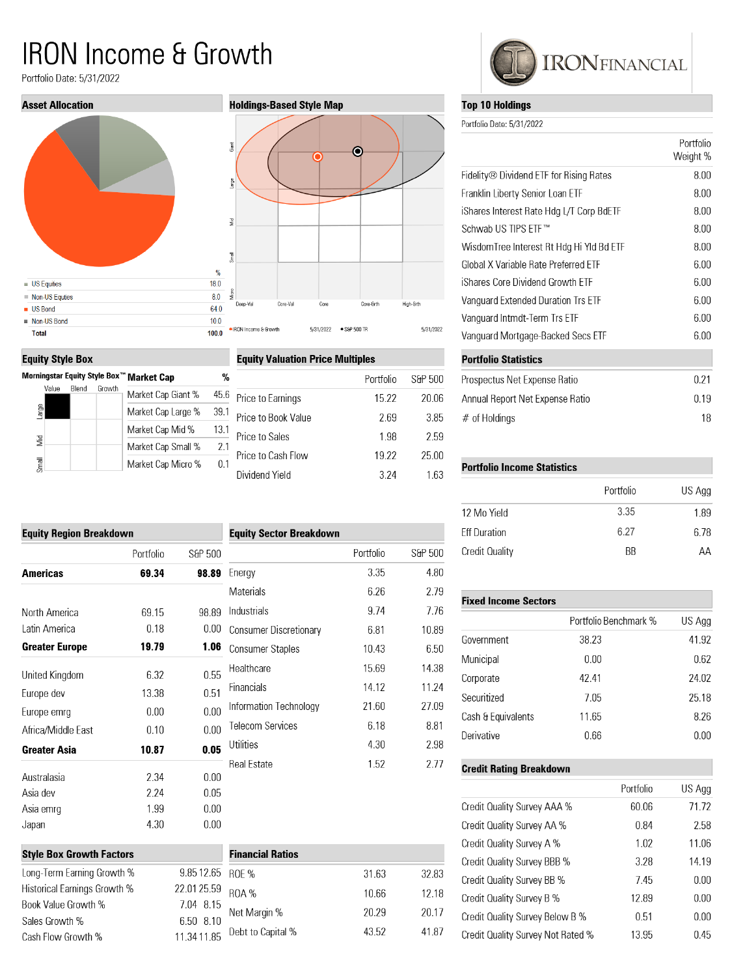# **IRON Income & Growth**

Portfolio Date: 5/31/2022







## **Equity Valuation Price Multiples**

|                     | Portfolio | S&P 500 |
|---------------------|-----------|---------|
| Price to Earnings   | 15.22     | 20.06   |
| Price to Book Value | 2.69      | 3.85    |
| Price to Sales      | 1.98      | 2.59    |
| Price to Cash Flow  | 19.22     | 25.00   |
| Dividend Yield      | 3 2 4     | 163     |
|                     |           |         |

| <b>Equity Region Breakdown</b> |           |         |
|--------------------------------|-----------|---------|
|                                | Portfolio | S&P 500 |
| Americas                       | 69.34     | 98.89   |
| North America                  | 69.15     | 98 89   |
| I atin America                 | 0.18      | 0.00    |
| Greater Europe                 | 19.79     | 1.06    |
| United Kingdom                 | 6.32      | 0.55    |
| Europe dev                     | 13.38     | 0.51    |
| Europe emrg                    | 0.00      | 0.00    |
| Africa/Middle East             | 0.10      | 0.00    |
| Greater Asia                   | 10.87     | 0.05    |
| Australasia                    | 2.34      | 0.00    |
| Asia dev                       | 2 24      | 0.05    |
| Asia emrq                      | 1.99      | 0.00    |
| Japan                          | 4.30      | 0 OO    |

| <b>Style Box Growth Factors</b> | <b>Financial</b> |              |
|---------------------------------|------------------|--------------|
| Long-Term Earning Growth %      | 9.85 12.65 ROF % |              |
| Historical Earnings Growth %    | 22.01 25.59      | <b>ROA %</b> |
| Book Value Growth %             | 7.04 8.15        | Net Margir   |
| Sales Growth %                  | 650 810          |              |
| Cash Flow Growth %              | 11 34 11 85      | Debt to Ca   |

|                               | <b>Equity Sector Breakdown</b> |         |
|-------------------------------|--------------------------------|---------|
|                               | Portfolio                      | S&P 500 |
| Energy                        | 3.35                           | 4.80    |
| Materials                     | 6.26                           | 2.79    |
| Industrials                   | 9.74                           | 7.76    |
| <b>Consumer Discretionary</b> | 681                            | 10.89   |
| Consumer Staples              | 10.43                          | 6.50    |
| Healthcare                    | 15.69                          | 14.38   |
| Financials                    | 14.12                          | 11.24   |
| Information Technology        | 21.60                          | 27.09   |
| <b>Telecom Services</b>       | 6.18                           | 8.81    |
| Utilities                     | 4.30                           | 2.98    |
| <b>Real Estate</b>            | 1.52                           | 2.77    |

|                 | <b>Financial Ratios</b> |       |       |
|-----------------|-------------------------|-------|-------|
| 512.65 ROE %    |                         | 31.63 | 32.83 |
| 1 25.59         | ROA%                    | 10.66 | 12.18 |
| 4 8.15<br>08.10 | Net Margin %            | 20.29 | 20.17 |
| 411.85          | Debt to Capital %       | 43.52 | 41.87 |
|                 |                         |       |       |



## **Top 10 Holdings**

Portfolio Date: 5/31/2022

|                                                     | Portfolio<br>Weight % |
|-----------------------------------------------------|-----------------------|
| Fidelity <sup>®</sup> Dividend ETF for Rising Rates | 8.00                  |
| Franklin Liberty Senior Loan ETF                    | 8.00                  |
| iShares Interest Rate Hdg L/T Corp BdETF            | 8.00                  |
| Schwab US TIPS FTF™                                 | 8.00                  |
| WisdomTree Interest Rt Hdg Hi YId Bd ETF            | 8.00                  |
| Global X Variable Rate Preferred FTF                | 6.00                  |
| iShares Core Dividend Growth FTF                    | 6.00                  |
| Vanguard Extended Duration Trs ETF                  | 6.00                  |
| Vanquard Intmdt-Term Trs ETF                        | 6.00                  |
| Vanguard Mortgage-Backed Secs ETF                   | 6.00                  |
| <b>Portfolio Statistics</b>                         |                       |
| Prospectus Net Expense Ratio                        | 0.21                  |
| Annual Report Net Expense Ratio                     | 0.19                  |
| $#$ of Holdings                                     | 18                    |

## **Portfolio Income Statistics**

| Portfolio | US Agg |
|-----------|--------|
| 3.35      | 1.89   |
| 6.27      | 6.78   |
| <b>BB</b> | AΑ     |
|           |        |

## **Fixed Income Sectors**

|                    | Portfolio Benchmark % | US Agg |
|--------------------|-----------------------|--------|
| Government         | 38.23                 | 41.92  |
| Municipal          | 0.00                  | 0.62   |
| Corporate          | 42.41                 | 24.02  |
| Securitized        | 7.05                  | 25.18  |
| Cash & Equivalents | 11.65                 | 8.26   |
| Derivative         | 0.66                  | 0.00   |

## **Credit Rating Breakdown**

|                                   | Portfolio | US Agg |
|-----------------------------------|-----------|--------|
| Credit Quality Survey AAA %       | 60.06     | 71.72  |
| Credit Quality Survey AA %        | 0.84      | 2.58   |
| Credit Quality Survey A %         | 1.02      | 11.06  |
| Credit Quality Survey BBB %       | 3.28      | 14.19  |
| Credit Quality Survey BB %        | 7.45      | 0.00   |
| Credit Quality Survey B %         | 12.89     | 0.00   |
| Credit Quality Survey Below B %   | 0.51      | 0.00   |
| Credit Quality Survey Not Rated % | 13.95     | 0.45   |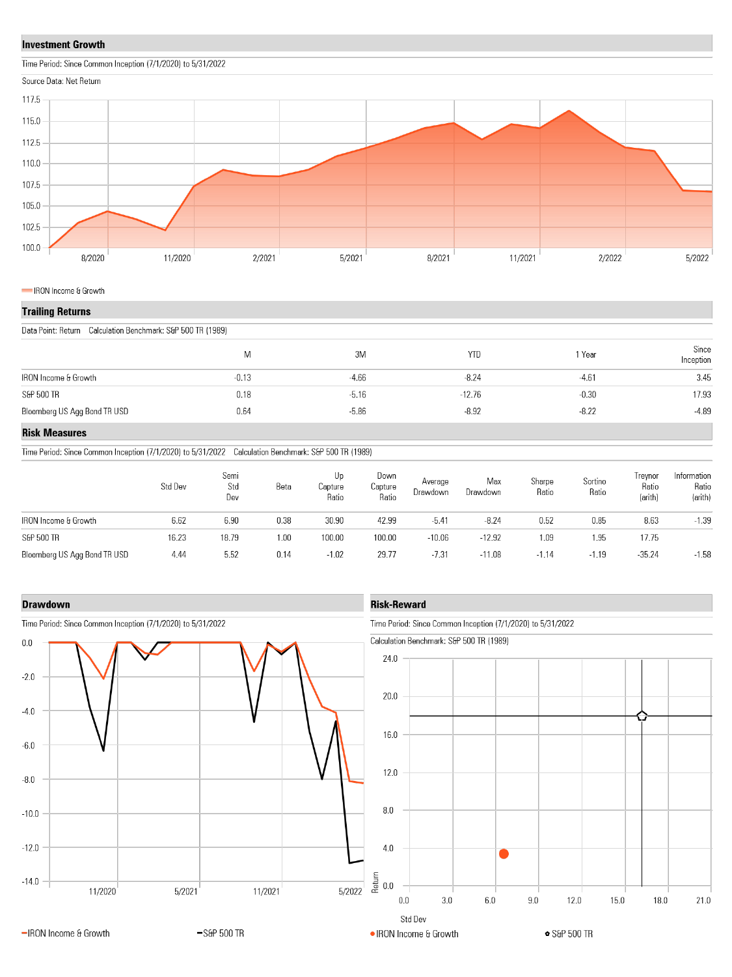## **Investment Growth**





#### IRON Income & Growth

## **Trailing Returns**

Data Point: Return Calculation Benchmark: S&P 500 TR (1989)

| M       | 3M      | <b>YTD</b> | Year    | Since<br>Inception |
|---------|---------|------------|---------|--------------------|
| $-0.13$ | $-4.66$ | $-8.24$    | $-4.61$ | 3.45               |
| 0.18    | $-5.16$ | $-12.76$   | $-0.30$ | 17.93              |
| 0.64    | $-5.86$ | $-8.92$    | $-8.22$ | $-4.89$            |
|         |         |            |         |                    |

## **Risk Measures**

Time Period: Since Common Inception (7/1/2020) to 5/31/2022 Calculation Benchmark: S&P 500 TR (1989)

|                              | Std Dev | Semi<br>Std<br>Dev | Beta | Up<br>Capture<br>Ratio | Down<br>Capture<br>Ratio | Average<br>Drawdown | Max<br>Drawdown | Sharpe<br>Ratio | Sortino<br>Ratio | Irevnor<br>Ratio<br>(arith) | Information<br>Ratio<br>(arith) |
|------------------------------|---------|--------------------|------|------------------------|--------------------------|---------------------|-----------------|-----------------|------------------|-----------------------------|---------------------------------|
| IRON Income & Growth         | 6.62    | 6.90               | 0.38 | 30.90                  | 42.99                    | $-5.41$             | $-8.24$         | 0.52            | 0.85             | 8.63                        | $-1.39$                         |
| S&P 500 TR                   | 16.23   | 18.79              | 1.00 | 100.00                 | 100.00                   | $-10.06$            | $-12.92$        | 1.09            | 1.95             | 17.75                       |                                 |
| Bloomberg US Agg Bond TR USD | 4.44    | 5.52               | 0.14 | $-1.02$                | 29.77                    | $-7.31$             | $-11.08$        | -1.14           | $-1.19$          | $-35.24$                    | $-1.58$                         |

### **Drawdown**



Time Period: Since Common Inception (7/1/2020) to 5/31/2022

## **Risk-Reward**

Time Period: Since Common Inception (7/1/2020) to 5/31/2022

Calculation Benchmark: S&P 500 TR (1989)